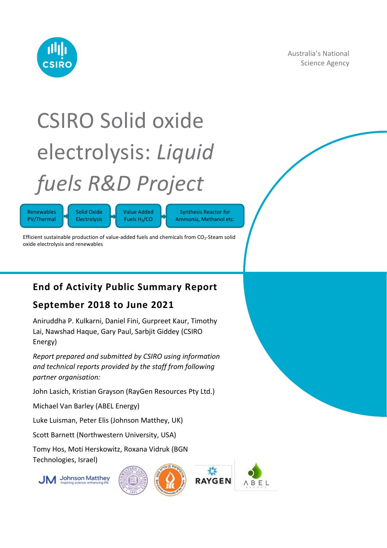

Australia's National Science Agency

# CSIRO Solid oxide electrolysis: *Liquid fuels R&D Project*

Renewables PV/Thermal



Synthesis Reactor for Ammonia, Methanol etc.

Efficient sustainable production of value-added fuels and chemicals from  $CO<sub>2</sub>$ -Steam solid oxide electrolysis and renewables

### **End of Activity Public Summary Report**

### **September 2018 to June 2021**

Aniruddha P. Kulkarni, Daniel Fini, Gurpreet Kaur, Timothy Lai, Nawshad Haque, Gary Paul, Sarbjit Giddey (CSIRO Energy)

*Report prepared and submitted by CSIRO using information and technical reports provided by the staff from following partner organisation:*

John Lasich, Kristian Grayson (RayGen Resources Pty Ltd.)

Michael Van Barley (ABEL Energy)

Luke Luisman, Peter Elis (Johnson Matthey, UK)

Scott Barnett (Northwestern University, USA)

Tomy Hos, Moti Herskowitz, Roxana Vidruk (BGN Technologies, Israel)





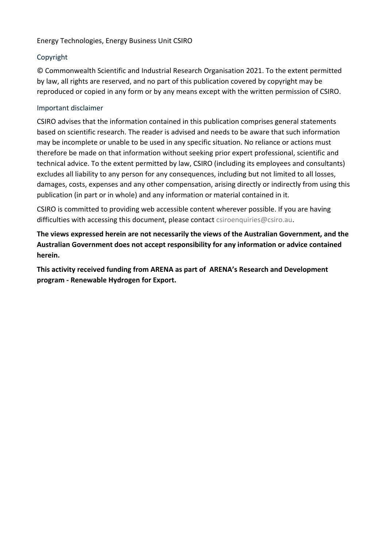#### Energy Technologies, Energy Business Unit CSIRO

#### Copyright

© Commonwealth Scientific and Industrial Research Organisation 2021. To the extent permitted by law, all rights are reserved, and no part of this publication covered by copyright may be reproduced or copied in any form or by any means except with the written permission of CSIRO.

#### Important disclaimer

CSIRO advises that the information contained in this publication comprises general statements based on scientific research. The reader is advised and needs to be aware that such information may be incomplete or unable to be used in any specific situation. No reliance or actions must therefore be made on that information without seeking prior expert professional, scientific and technical advice. To the extent permitted by law, CSIRO (including its employees and consultants) excludes all liability to any person for any consequences, including but not limited to all losses, damages, costs, expenses and any other compensation, arising directly or indirectly from using this publication (in part or in whole) and any information or material contained in it.

CSIRO is committed to providing web accessible content wherever possible. If you are having difficulties with accessing this document, please contact [csiroenquiries@csiro.au.](mailto:csiroenquiries@csiro.au)

**The views expressed herein are not necessarily the views of the Australian Government, and the Australian Government does not accept responsibility for any information or advice contained herein.**

**This activity received funding from ARENA as part of ARENA's Research and Development program - Renewable Hydrogen for Export.**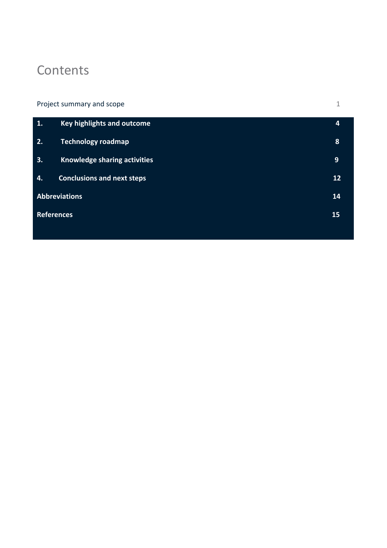# **Contents**

| Project summary and scope |                                   |    |
|---------------------------|-----------------------------------|----|
| 1.                        | Key highlights and outcome        | 4  |
| 2.                        | <b>Technology roadmap</b>         | 8  |
| 3.                        | Knowledge sharing activities      | 9  |
| 4.                        | <b>Conclusions and next steps</b> | 12 |
| <b>Abbreviations</b>      |                                   | 14 |
| <b>References</b><br>15   |                                   |    |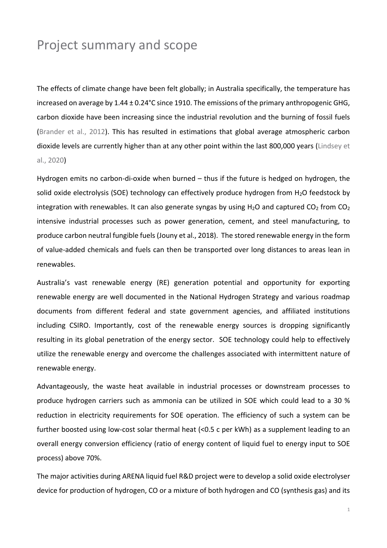## <span id="page-3-0"></span>Project summary and scope

The effects of climate change have been felt globally; in Australia specifically, the temperature has increased on average by 1.44 ± 0.24°C since 1910. The emissions of the primary anthropogenic GHG, carbon dioxide have been increasing since the industrial revolution and the burning of fossil fuels (Brander et al., 2012). This has resulted in estimations that global average atmospheric carbon dioxide levels are currently higher than at any other point within the last 800,000 years (Lindsey et al., 2020)

Hydrogen emits no carbon-di-oxide when burned – thus if the future is hedged on hydrogen, the solid oxide electrolysis (SOE) technology can effectively produce hydrogen from H<sub>2</sub>O feedstock by integration with renewables. It can also generate syngas by using  $H_2O$  and captured  $CO_2$  from  $CO_2$ intensive industrial processes such as power generation, cement, and steel manufacturing, to produce carbon neutral fungible fuels (Jouny et al., 2018). The stored renewable energy in the form of value-added chemicals and fuels can then be transported over long distances to areas lean in renewables.

Australia's vast renewable energy (RE) generation potential and opportunity for exporting renewable energy are well documented in the National Hydrogen Strategy and various roadmap documents from different federal and state government agencies, and affiliated institutions including CSIRO. Importantly, cost of the renewable energy sources is dropping significantly resulting in its global penetration of the energy sector. SOE technology could help to effectively utilize the renewable energy and overcome the challenges associated with intermittent nature of renewable energy.

Advantageously, the waste heat available in industrial processes or downstream processes to produce hydrogen carriers such as ammonia can be utilized in SOE which could lead to a 30 % reduction in electricity requirements for SOE operation. The efficiency of such a system can be further boosted using low-cost solar thermal heat (<0.5 c per kWh) as a supplement leading to an overall energy conversion efficiency (ratio of energy content of liquid fuel to energy input to SOE process) above 70%.

The major activities during ARENA liquid fuel R&D project were to develop a solid oxide electrolyser device for production of hydrogen, CO or a mixture of both hydrogen and CO (synthesis gas) and its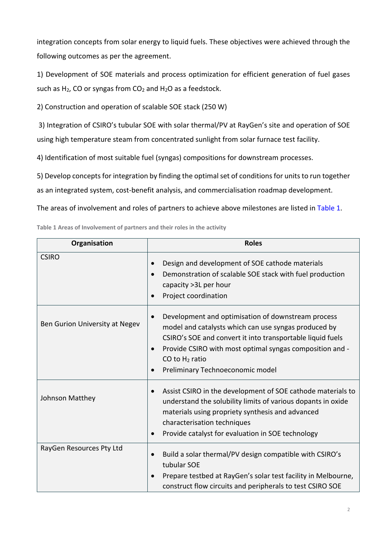integration concepts from solar energy to liquid fuels. These objectives were achieved through the following outcomes as per the agreement.

1) Development of SOE materials and process optimization for efficient generation of fuel gases such as  $H_2$ , CO or syngas from  $CO_2$  and  $H_2O$  as a feedstock.

2) Construction and operation of scalable SOE stack (250 W)

3) Integration of CSIRO's tubular SOE with solar thermal/PV at RayGen's site and operation of SOE using high temperature steam from concentrated sunlight from solar furnace test facility.

4) Identification of most suitable fuel (syngas) compositions for downstream processes.

5) Develop concepts for integration by finding the optimal set of conditions for units to run together as an integrated system, cost-benefit analysis, and commercialisation roadmap development.

The areas of involvement and roles of partners to achieve above milestones are listed in Table 1.

| Organisation                   | <b>Roles</b>                                                                                                                                                                                                                                                                                               |
|--------------------------------|------------------------------------------------------------------------------------------------------------------------------------------------------------------------------------------------------------------------------------------------------------------------------------------------------------|
| <b>CSIRO</b>                   | Design and development of SOE cathode materials<br>Demonstration of scalable SOE stack with fuel production<br>$\bullet$<br>capacity > 3L per hour<br>Project coordination                                                                                                                                 |
| Ben Gurion University at Negev | Development and optimisation of downstream process<br>$\bullet$<br>model and catalysts which can use syngas produced by<br>CSIRO's SOE and convert it into transportable liquid fuels<br>Provide CSIRO with most optimal syngas composition and -<br>CO to $H_2$ ratio<br>Preliminary Technoeconomic model |
| Johnson Matthey                | Assist CSIRO in the development of SOE cathode materials to<br>understand the solubility limits of various dopants in oxide<br>materials using propriety synthesis and advanced<br>characterisation techniques<br>Provide catalyst for evaluation in SOE technology                                        |
| RayGen Resources Pty Ltd       | Build a solar thermal/PV design compatible with CSIRO's<br>tubular SOE<br>Prepare testbed at RayGen's solar test facility in Melbourne,<br>construct flow circuits and peripherals to test CSIRO SOE                                                                                                       |

**Table 1 Areas of Involvement of partners and their roles in the activity**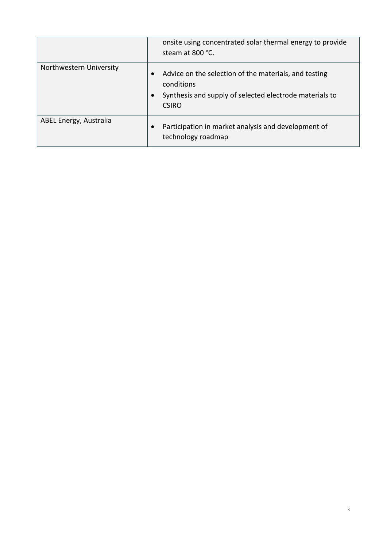|                         | onsite using concentrated solar thermal energy to provide<br>steam at 800 °C.                                                                  |
|-------------------------|------------------------------------------------------------------------------------------------------------------------------------------------|
| Northwestern University | Advice on the selection of the materials, and testing<br>conditions<br>Synthesis and supply of selected electrode materials to<br><b>CSIRO</b> |
| ABEL Energy, Australia  | Participation in market analysis and development of<br>technology roadmap                                                                      |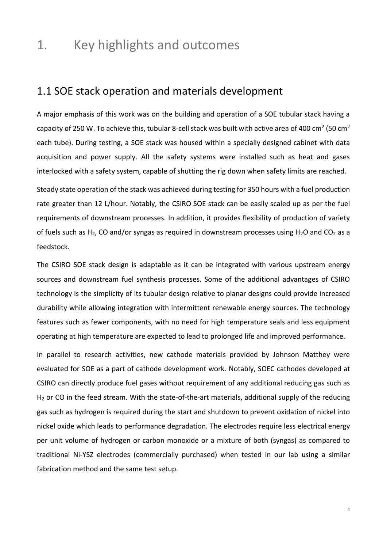## <span id="page-6-0"></span>1. Key highlights and outcomes

### 1.1 SOE stack operation and materials development

A major emphasis of this work was on the building and operation of a SOE tubular stack having a capacity of 250 W. To achieve this, tubular 8-cell stack was built with active area of 400 cm<sup>2</sup> (50 cm<sup>2</sup> each tube). During testing, a SOE stack was housed within a specially designed cabinet with data acquisition and power supply. All the safety systems were installed such as heat and gases interlocked with a safety system, capable of shutting the rig down when safety limits are reached.

Steady state operation of the stack was achieved during testing for 350 hours with a fuel production rate greater than 12 L/hour. Notably, the CSIRO SOE stack can be easily scaled up as per the fuel requirements of downstream processes. In addition, it provides flexibility of production of variety of fuels such as H<sub>2</sub>, CO and/or syngas as required in downstream processes using H<sub>2</sub>O and CO<sub>2</sub> as a feedstock.

The CSIRO SOE stack design is adaptable as it can be integrated with various upstream energy sources and downstream fuel synthesis processes. Some of the additional advantages of CSIRO technology is the simplicity of its tubular design relative to planar designs could provide increased durability while allowing integration with intermittent renewable energy sources. The technology features such as fewer components, with no need for high temperature seals and less equipment operating at high temperature are expected to lead to prolonged life and improved performance.

In parallel to research activities, new cathode materials provided by Johnson Matthey were evaluated for SOE as a part of cathode development work. Notably, SOEC cathodes developed at CSIRO can directly produce fuel gases without requirement of any additional reducing gas such as H<sub>2</sub> or CO in the feed stream. With the state-of-the-art materials, additional supply of the reducing gas such as hydrogen is required during the start and shutdown to prevent oxidation of nickel into nickel oxide which leads to performance degradation. The electrodes require less electrical energy per unit volume of hydrogen or carbon monoxide or a mixture of both (syngas) as compared to traditional Ni-YSZ electrodes (commercially purchased) when tested in our lab using a similar fabrication method and the same test setup.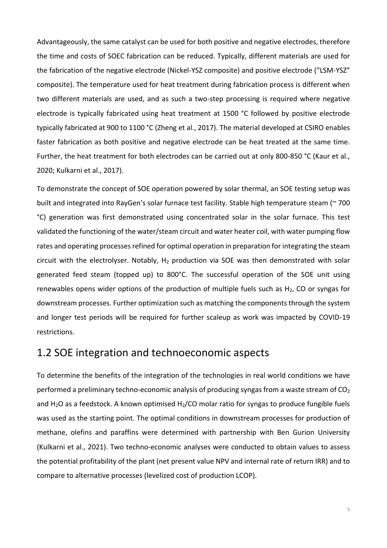Advantageously, the same catalyst can be used for both positive and negative electrodes, therefore the time and costs of SOEC fabrication can be reduced. Typically, different materials are used for the fabrication of the negative electrode (Nickel-YSZ composite) and positive electrode ("LSM-YSZ" composite). The temperature used for heat treatment during fabrication process is different when two different materials are used, and as such a two-step processing is required where negative electrode is typically fabricated using heat treatment at 1500 °C followed by positive electrode typically fabricated at 900 to 1100 °C (Zheng et al., 2017). The material developed at CSIRO enables faster fabrication as both positive and negative electrode can be heat treated at the same time. Further, the heat treatment for both electrodes can be carried out at only 800-850 °C (Kaur et al., 2020; Kulkarni et al., 2017).

To demonstrate the concept of SOE operation powered by solar thermal, an SOE testing setup was built and integrated into RayGen's solar furnace test facility. Stable high temperature steam (~ 700 °C) generation was first demonstrated using concentrated solar in the solar furnace. This test validated the functioning of the water/steam circuit and water heater coil, with water pumping flow rates and operating processes refined for optimal operation in preparation for integrating the steam circuit with the electrolyser. Notably,  $H_2$  production via SOE was then demonstrated with solar generated feed steam (topped up) to 800°C. The successful operation of the SOE unit using renewables opens wider options of the production of multiple fuels such as  $H<sub>2</sub>$ , CO or syngas for downstream processes. Further optimization such as matching the components through the system and longer test periods will be required for further scaleup as work was impacted by COVID-19 restrictions.

### 1.2 SOE integration and technoeconomic aspects

To determine the benefits of the integration of the technologies in real world conditions we have performed a preliminary techno-economic analysis of producing syngas from a waste stream of  $CO<sub>2</sub>$ and  $H_2O$  as a feedstock. A known optimised  $H_2/CO$  molar ratio for syngas to produce fungible fuels was used as the starting point. The optimal conditions in downstream processes for production of methane, olefins and paraffins were determined with partnership with Ben Gurion University (Kulkarni et al., 2021). Two techno-economic analyses were conducted to obtain values to assess the potential profitability of the plant (net present value NPV and internal rate of return IRR) and to compare to alternative processes (levelized cost of production LCOP).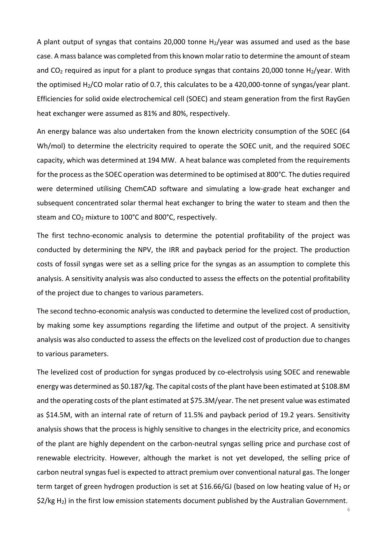A plant output of syngas that contains 20,000 tonne  $H_2$ /year was assumed and used as the base case. A mass balance was completed from this known molar ratio to determine the amount of steam and  $CO<sub>2</sub>$  required as input for a plant to produce syngas that contains 20,000 tonne H<sub>2</sub>/year. With the optimised H2/CO molar ratio of 0.7, this calculates to be a 420,000-tonne of syngas/year plant. Efficiencies for solid oxide electrochemical cell (SOEC) and steam generation from the first RayGen heat exchanger were assumed as 81% and 80%, respectively.

An energy balance was also undertaken from the known electricity consumption of the SOEC (64 Wh/mol) to determine the electricity required to operate the SOEC unit, and the required SOEC capacity, which was determined at 194 MW. A heat balance was completed from the requirements for the process as the SOEC operation was determined to be optimised at 800°C. The duties required were determined utilising ChemCAD software and simulating a low-grade heat exchanger and subsequent concentrated solar thermal heat exchanger to bring the water to steam and then the steam and CO<sub>2</sub> mixture to 100°C and 800°C, respectively.

The first techno-economic analysis to determine the potential profitability of the project was conducted by determining the NPV, the IRR and payback period for the project. The production costs of fossil syngas were set as a selling price for the syngas as an assumption to complete this analysis. A sensitivity analysis was also conducted to assess the effects on the potential profitability of the project due to changes to various parameters.

The second techno-economic analysis was conducted to determine the levelized cost of production, by making some key assumptions regarding the lifetime and output of the project. A sensitivity analysis was also conducted to assess the effects on the levelized cost of production due to changes to various parameters.

The levelized cost of production for syngas produced by co-electrolysis using SOEC and renewable energy was determined as \$0.187/kg. The capital costs of the plant have been estimated at \$108.8M and the operating costs of the plant estimated at \$75.3M/year. The net present value was estimated as \$14.5M, with an internal rate of return of 11.5% and payback period of 19.2 years. Sensitivity analysis shows that the process is highly sensitive to changes in the electricity price, and economics of the plant are highly dependent on the carbon-neutral syngas selling price and purchase cost of renewable electricity. However, although the market is not yet developed, the selling price of carbon neutral syngas fuel is expected to attract premium over conventional natural gas. The longer term target of green hydrogen production is set at \$16.66/GJ (based on low heating value of H<sub>2</sub> or  $$2/kg$  H<sub>2</sub>) in the first low emission statements document published by the Australian Government.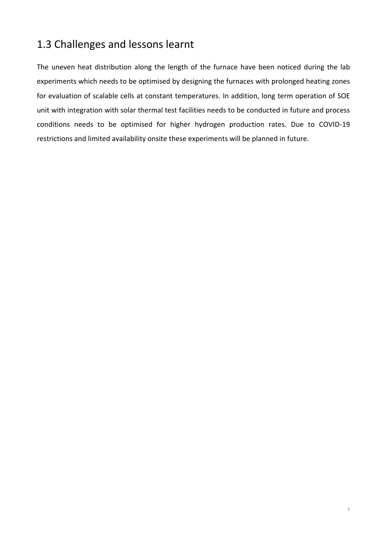### 1.3 Challenges and lessons learnt

The uneven heat distribution along the length of the furnace have been noticed during the lab experiments which needs to be optimised by designing the furnaces with prolonged heating zones for evaluation of scalable cells at constant temperatures. In addition, long term operation of SOE unit with integration with solar thermal test facilities needs to be conducted in future and process conditions needs to be optimised for higher hydrogen production rates. Due to COVID-19 restrictions and limited availability onsite these experiments will be planned in future.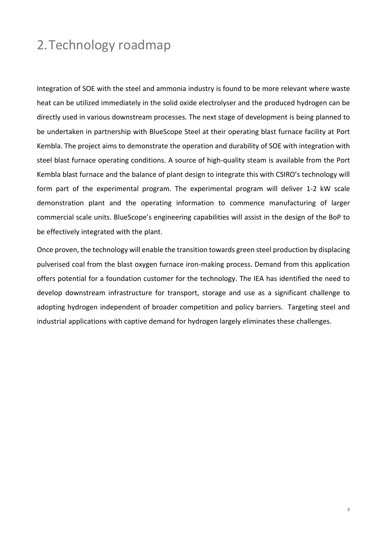# <span id="page-10-0"></span>2.Technology roadmap

Integration of SOE with the steel and ammonia industry is found to be more relevant where waste heat can be utilized immediately in the solid oxide electrolyser and the produced hydrogen can be directly used in various downstream processes. The next stage of development is being planned to be undertaken in partnership with BlueScope Steel at their operating blast furnace facility at Port Kembla. The project aims to demonstrate the operation and durability of SOE with integration with steel blast furnace operating conditions. A source of high-quality steam is available from the Port Kembla blast furnace and the balance of plant design to integrate this with CSIRO's technology will form part of the experimental program. The experimental program will deliver 1-2 kW scale demonstration plant and the operating information to commence manufacturing of larger commercial scale units. BlueScope's engineering capabilities will assist in the design of the BoP to be effectively integrated with the plant.

Once proven, the technology will enable the transition towards green steel production by displacing pulverised coal from the blast oxygen furnace iron-making process. Demand from this application offers potential for a foundation customer for the technology. The IEA has identified the need to develop downstream infrastructure for transport, storage and use as a significant challenge to adopting hydrogen independent of broader competition and policy barriers. Targeting steel and industrial applications with captive demand for hydrogen largely eliminates these challenges.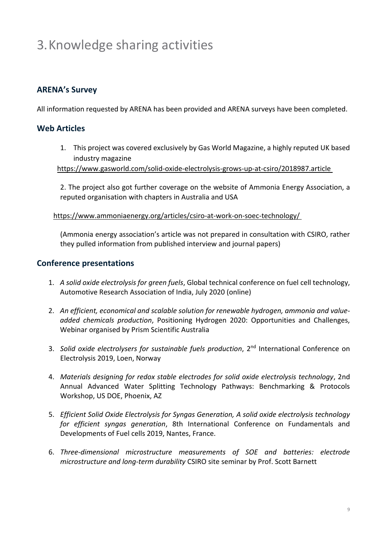# <span id="page-11-0"></span>3.Knowledge sharing activities

### **ARENA's Survey**

All information requested by ARENA has been provided and ARENA surveys have been completed.

### **Web Articles**

1. This project was covered exclusively by Gas World Magazine, a highly reputed UK based industry magazine

<https://www.gasworld.com/solid-oxide-electrolysis-grows-up-at-csiro/2018987.article>

2. The project also got further coverage on the website of Ammonia Energy Association, a reputed organisation with chapters in Australia and USA

<https://www.ammoniaenergy.org/articles/csiro-at-work-on-soec-technology/>

(Ammonia energy association's article was not prepared in consultation with CSIRO, rather they pulled information from published interview and journal papers)

### **Conference presentations**

- 1. *A solid oxide electrolysis for green fuels*, Global technical conference on fuel cell technology, Automotive Research Association of India, July 2020 (online)
- 2. *An efficient, economical and scalable solution for renewable hydrogen, ammonia and valueadded chemicals production*, Positioning Hydrogen 2020: Opportunities and Challenges, Webinar organised by Prism Scientific Australia
- 3. *Solid oxide electrolysers for sustainable fuels production*, 2nd International Conference on Electrolysis 2019, Loen, Norway
- 4. *Materials designing for redox stable electrodes for solid oxide electrolysis technology*, 2nd Annual Advanced Water Splitting Technology Pathways: Benchmarking & Protocols Workshop, US DOE, Phoenix, AZ
- 5. *Efficient Solid Oxide Electrolysis for Syngas Generation, A solid oxide electrolysis technology for efficient syngas generation*, 8th International Conference on Fundamentals and Developments of Fuel cells 2019, Nantes, France.
- 6. *Three-dimensional microstructure measurements of SOE and batteries: electrode microstructure and long-term durability* CSIRO site seminar by Prof. Scott Barnett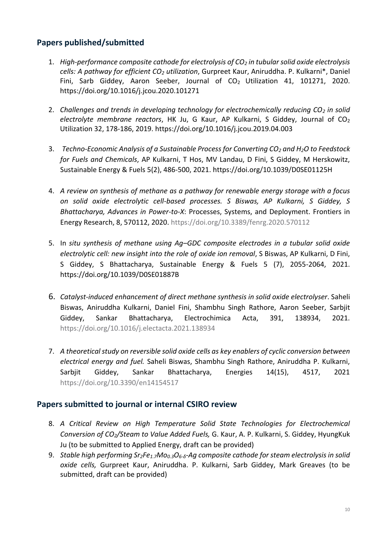### **Papers published/submitted**

- 1. *High-performance composite cathode for electrolysis of CO<sup>2</sup> in tubular solid oxide electrolysis cells: A pathway for efficient CO<sup>2</sup> utilization*, Gurpreet Kaur, Aniruddha. P. Kulkarni\*, Daniel Fini, Sarb Giddey, Aaron Seeber, Journal of CO<sub>2</sub> Utilization 41, 101271, 2020. <https://doi.org/10.1016/j.jcou.2020.101271>
- 2. *Challenges and trends in developing technology for electrochemically reducing CO<sup>2</sup> in solid electrolyte membrane reactors*, HK Ju, G Kaur, AP Kulkarni, S Giddey, Journal of CO<sup>2</sup> Utilization 32, 178-186, 2019.<https://doi.org/10.1016/j.jcou.2019.04.003>
- 3. *Techno-Economic Analysis of a Sustainable Process for Converting CO<sup>2</sup> and H2O to Feedstock for Fuels and Chemicals*, AP Kulkarni, T Hos, MV Landau, D Fini, S Giddey, M Herskowitz, Sustainable Energy & Fuels 5(2), 486-500, 2021.<https://doi.org/10.1039/D0SE01125H>
- 4. *A review on synthesis of methane as a pathway for renewable energy storage with a focus on solid oxide electrolytic cell-based processes. S Biswas, AP Kulkarni, S Giddey, S Bhattacharya, Advances in Power*-*to-X*: Processes, Systems, and Deployment. Frontiers in Energy Research, 8, 570112, 2020.<https://doi.org/10.3389/fenrg.2020.570112>
- 5. In *situ synthesis of methane using Ag–GDC composite electrodes in a tubular solid oxide electrolytic cell: new insight into the role of oxide ion removal*, S Biswas, AP Kulkarni, D Fini, S Giddey, S Bhattacharya, Sustainable Energy & Fuels 5 (7), 2055-2064, 2021. <https://doi.org/10.1039/D0SE01887B>
- 6. *Catalyst-induced enhancement of direct methane synthesis in solid oxide electrolyser*. Saheli Biswas, Aniruddha Kulkarni, Daniel Fini, Shambhu Singh Rathore, Aaron Seeber, Sarbjit Giddey, Sankar Bhattacharya, Electrochimica Acta, 391, 138934, 2021. <https://doi.org/10.1016/j.electacta.2021.138934>
- 7. *A theoretical study on reversible solid oxide cells as key enablers of cyclic conversion between electrical energy and fuel.* Saheli Biswas, Shambhu Singh Rathore, Aniruddha P. Kulkarni, Sarbjit Giddey, Sankar Bhattacharya, Energies 14(15), 4517, 2021 <https://doi.org/10.3390/en14154517>

### **Papers submitted to journal or internal CSIRO review**

- 8. *A Critical Review on High Temperature Solid State Technologies for Electrochemical Conversion of CO2/Steam to Value Added Fuels,* G. Kaur, A. P. Kulkarni, S. Giddey, HyungKuk Ju (to be submitted to Applied Energy, draft can be provided)
- 9. *Stable high performing Sr2Fe1.7Mo0.3O6-δ-Ag composite cathode for steam electrolysis in solid oxide cells,* Gurpreet Kaur, Aniruddha. P. Kulkarni, Sarb Giddey, Mark Greaves (to be submitted, draft can be provided)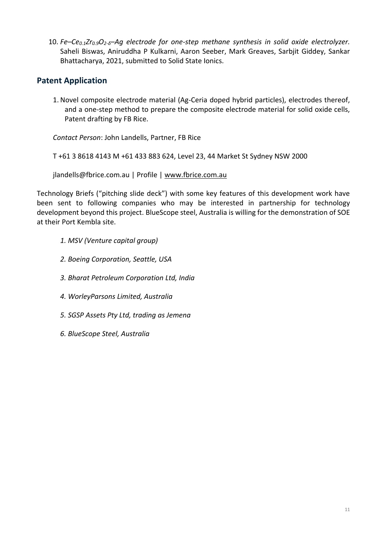10. *Fe–Ce0.1Zr0.9O2-δ–Ag electrode for one-step methane synthesis in solid oxide electrolyzer.* Saheli Biswas, Aniruddha P Kulkarni, Aaron Seeber, Mark Greaves, Sarbjit Giddey, Sankar Bhattacharya, 2021, submitted to Solid State Ionics.

### **Patent Application**

1. Novel composite electrode material (Ag-Ceria doped hybrid particles), electrodes thereof, and a one-step method to prepare the composite electrode material for solid oxide cells, Patent drafting by FB Rice.

*Contact Person*: John Landells, Partner, FB Rice

T +61 3 8618 4143 M +61 433 883 624, Level 23, 44 Market St Sydney NSW 2000

jlandells@fbrice.com.au | Profile | [www.fbrice.com.au](http://www.fbrice.com.au/)

Technology Briefs ("pitching slide deck") with some key features of this development work have been sent to following companies who may be interested in partnership for technology development beyond this project. BlueScope steel, Australia is willing for the demonstration of SOE at their Port Kembla site.

- *1. MSV (Venture capital group)*
- *2. Boeing Corporation, Seattle, USA*
- *3. Bharat Petroleum Corporation Ltd, India*
- *4. WorleyParsons Limited, Australia*
- *5. SGSP Assets Pty Ltd, trading as Jemena*
- *6. BlueScope Steel, Australia*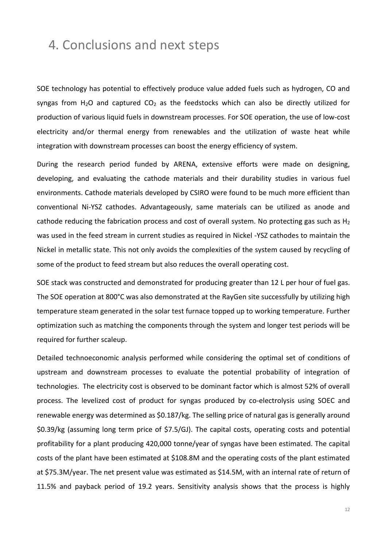### <span id="page-14-0"></span>4. Conclusions and next steps

SOE technology has potential to effectively produce value added fuels such as hydrogen, CO and syngas from  $H_2O$  and captured  $CO_2$  as the feedstocks which can also be directly utilized for production of various liquid fuels in downstream processes. For SOE operation, the use of low-cost electricity and/or thermal energy from renewables and the utilization of waste heat while integration with downstream processes can boost the energy efficiency of system.

During the research period funded by ARENA, extensive efforts were made on designing, developing, and evaluating the cathode materials and their durability studies in various fuel environments. Cathode materials developed by CSIRO were found to be much more efficient than conventional Ni-YSZ cathodes. Advantageously, same materials can be utilized as anode and cathode reducing the fabrication process and cost of overall system. No protecting gas such as  $H_2$ was used in the feed stream in current studies as required in Nickel -YSZ cathodes to maintain the Nickel in metallic state. This not only avoids the complexities of the system caused by recycling of some of the product to feed stream but also reduces the overall operating cost.

SOE stack was constructed and demonstrated for producing greater than 12 L per hour of fuel gas. The SOE operation at 800°C was also demonstrated at the RayGen site successfully by utilizing high temperature steam generated in the solar test furnace topped up to working temperature. Further optimization such as matching the components through the system and longer test periods will be required for further scaleup.

Detailed technoeconomic analysis performed while considering the optimal set of conditions of upstream and downstream processes to evaluate the potential probability of integration of technologies. The electricity cost is observed to be dominant factor which is almost 52% of overall process. The levelized cost of product for syngas produced by co-electrolysis using SOEC and renewable energy was determined as \$0.187/kg. The selling price of natural gas is generally around \$0.39/kg (assuming long term price of \$7.5/GJ). The capital costs, operating costs and potential profitability for a plant producing 420,000 tonne/year of syngas have been estimated. The capital costs of the plant have been estimated at \$108.8M and the operating costs of the plant estimated at \$75.3M/year. The net present value was estimated as \$14.5M, with an internal rate of return of 11.5% and payback period of 19.2 years. Sensitivity analysis shows that the process is highly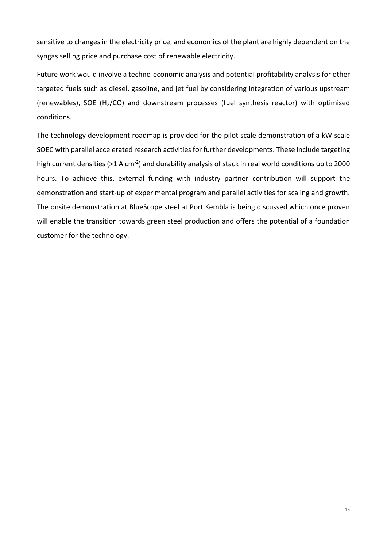sensitive to changes in the electricity price, and economics of the plant are highly dependent on the syngas selling price and purchase cost of renewable electricity.

Future work would involve a techno-economic analysis and potential profitability analysis for other targeted fuels such as diesel, gasoline, and jet fuel by considering integration of various upstream (renewables), SOE (H<sub>2</sub>/CO) and downstream processes (fuel synthesis reactor) with optimised conditions.

The technology development roadmap is provided for the pilot scale demonstration of a kW scale SOEC with parallel accelerated research activities for further developments. These include targeting high current densities (>1 A cm<sup>-2</sup>) and durability analysis of stack in real world conditions up to 2000 hours. To achieve this, external funding with industry partner contribution will support the demonstration and start-up of experimental program and parallel activities for scaling and growth. The onsite demonstration at BlueScope steel at Port Kembla is being discussed which once proven will enable the transition towards green steel production and offers the potential of a foundation customer for the technology.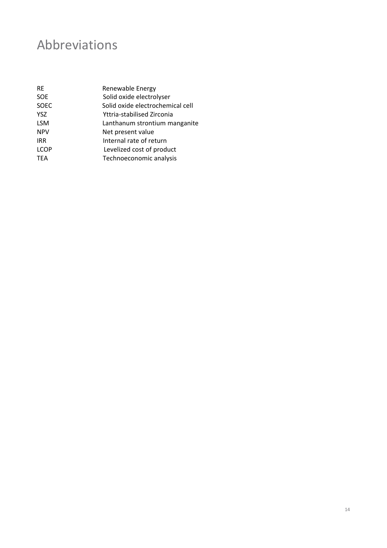# <span id="page-16-0"></span>Abbreviations

| <b>RF</b>   | Renewable Energy                 |
|-------------|----------------------------------|
| <b>SOE</b>  | Solid oxide electrolyser         |
| <b>SOEC</b> | Solid oxide electrochemical cell |
| <b>YSZ</b>  | Yttria-stabilised Zirconia       |
| <b>LSM</b>  | Lanthanum strontium manganite    |
| <b>NPV</b>  | Net present value                |
| <b>IRR</b>  | Internal rate of return          |
| <b>LCOP</b> | Levelized cost of product        |
| <b>TEA</b>  | Technoeconomic analysis          |
|             |                                  |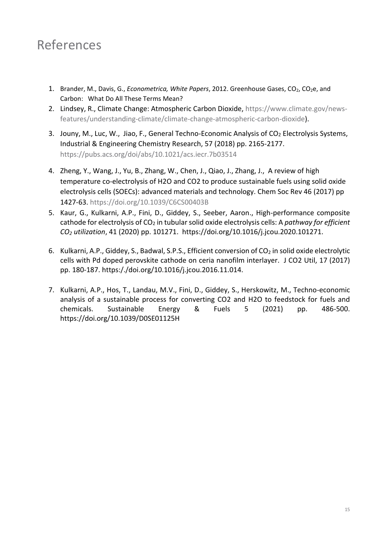# <span id="page-17-0"></span>References

- 1. Brander, M., Davis, G., *Econometrica, White Papers*, 2012. Greenhouse Gases, CO<sub>2</sub>, CO<sub>2</sub>e, and Carbon: What Do All These Terms Mean?
- 2. Lindsey, R., Climate Change: Atmospheric Carbon Dioxide, [https://www.climate.gov/news](https://www.climate.gov/news-features/understanding-climate/climate-change-atmospheric-carbon-dioxide)[features/understanding-climate/climate-change-atmospheric-carbon-dioxide\)](https://www.climate.gov/news-features/understanding-climate/climate-change-atmospheric-carbon-dioxide).
- 3. Jouny, M., Luc, W., Jiao, F., General Techno-Economic Analysis of CO<sub>2</sub> Electrolysis Systems, Industrial & Engineering Chemistry Research, 57 (2018) pp. 2165-2177. <https://pubs.acs.org/doi/abs/10.1021/acs.iecr.7b03514>
- 4. Zheng, Y., Wang, J., Yu, B., Zhang, W., Chen, J., Qiao, J., Zhang, J., A review of high temperature co-electrolysis of H2O and CO2 to produce sustainable fuels using solid oxide electrolysis cells (SOECs): advanced materials and technology. Chem Soc Rev 46 (2017) pp 1427-63.<https://doi.org/10.1039/C6CS00403B>
- 5. Kaur, G., Kulkarni, A.P., Fini, D., Giddey, S., Seeber, Aaron., High-performance composite cathode for electrolysis of CO<sub>2</sub> in tubular solid oxide electrolysis cells: A *pathway for efficient CO<sup>2</sup> utilization*, 41 (2020) pp. 101271. [https://doi.org/10.1016/j.jcou.2020.101271.](https://doi.org/10.1016/j.jcou.2020.101271)
- 6. Kulkarni, A.P., Giddey, S., Badwal, S.P.S., Efficient conversion of  $CO<sub>2</sub>$  in solid oxide electrolytic cells with Pd doped perovskite cathode on ceria nanofilm interlayer. J CO2 Util, 17 (2017) pp. 180-187. [https:/./doi.org/10.1016/j.jcou.2016.11.014.](https://doi.org/10.1016/j.jcou.2016.11.014)
- 7. Kulkarni, A.P., Hos, T., Landau, M.V., Fini, D., Giddey, S., Herskowitz, M., Techno-economic analysis of a sustainable process for converting CO2 and H2O to feedstock for fuels and chemicals. Sustainable Energy & Fuels 5 (2021) pp. 486-500. <https://doi.org/10.1039/D0SE01125H>